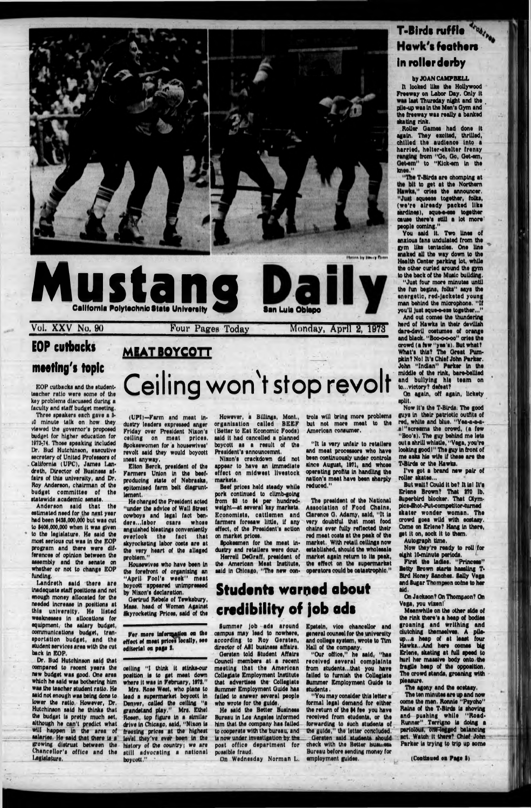# Photos by Heavy Gross Mustang **California Polytaohnlottata Unlvaralty •an Lula Oblapo** Vol. XXV No. 90 **Four Pages Today** Monday, April 2, 1973

## **EOP** cutbacks meeting's topic

EOP cutbacks and the studentteacher ratio were some of the **key problems discussed during a faculty and staff budget meeting,**

**Three speakers each gave a 5 iO minute talk on how they viewed the governor's proposed budget for higher education for 1873-74, Those speaking Included Dr, Hud Hutchinson, sxecutlve secretary of United Professors of** California (UPC), James Lan**dreth, Director of Business affairs of this university, and Dr. Roy Anderson, chairman of the budget** committee of the **statewide academic senate.**

**Anderson said that the estimated need for the next year had been 1438,000,o6o but was cut to 1406,000,000 when It was given to the legislature. He said the most serious cut was In the EOP program and there were dif-**

**ferences of opinion between the assembly and the senate on whether or not to change EOP funding.**

(UPI)-Farm and meat in**dustry leaders expressed anger Friday over President Nixon's** ceiling on meat prices. **Spokeswomen for s housewives' revolt said they would boycott meat anyway,**

**Landreth said there are Inadequate staff positions and not enough money allocated for the needed Increase In positions at this university. He listed weaknesses In allocations for equipment, the salary budget, communications budget, transportation budget, and the student services area with the cut back In EOP.**

> **celling " I think It stlnks-our position Is to get meat down where It was In February, 1873." Mrs. Rose West, who plans to lead a supermarket boycott In Denver, called the ceiling "a grandstand play," Mrs. Ethel Rosen, top figure In a similar drive in Chicago, said, "Nixon is freezing prices at the highest level they've ever bean in the history of the country; we are still advocating a national** boycott."

**Dr. Bud Hufchlnoon said that oompared to recent years the new budget was good. One area which he said was bothering him was the teacher student ratio. He said not enough was being done to lower the ratio. However, Dr, Hutchinson said he thinks that the budget is pretty much set, although he can't predict what will happen (h the area of** salaries, He said that there is a **growing distrust between the Chancellor's office and the legislature,**

#### **M EAT BOYCOTT**

. I

# **Ceiling won't stop revolt**

**Elton Berck, president of the Farmers Union In the beefproducing state of Nebraska, epitomised farm belt dlsgruntlament,**

**He charged the President acted "under the advice of Wall Street cowboys and legal fact benders,,.labor osars whose anguished Meetings conveniently overlook the fact that skyrocketing labor oosts are at the very heart of the alleged problem."**

**Housewives who have been in the forefront of organising an** "April Fool's week" meat **boycott appeared unimpressed by Nixon's declaration.**

**Oertrud Rebels of Tewksbury, Maas, head of Women Against Skyrocketing Prices, said of the**

**For more InfonqaUou on the** effect of meat prices locally, see **editorial on pngs I.**

*<u>The T-Birds are chomping at</u>* **to get at the Northern " cries the announcer, squeeie together, folks, (w e 're already packed like sardines), squeezes together oouoe there's still a lot more' people coming."**

**However, a Billings, Mont., organisation called B E E F (Better to Eat Economic Foods) said It had cancelled a planned boycott as a result of the President's announcemnt.**

**Nixon's crackdown did not appear to have an immediate effect on midwest livestock markets.**

**Beef prloes held steady while pork continued to cllmb-golng from \$3 to \$4 per hundredweight—at several key markets. Economists, cattlemen and farmers foresaw little, If any effect, of the President's action on market prices.**

**trots will bring more problems but not more meat to the American consumer.**

**" It is very unfair to retailers and meat processors who have been continuously under controls** since August, 1971, and whose **operating profits in handling the nation's meat have been sharply reduced."**

**Spokesmen for the meat industry and retailers were dour. Herrell DeOraff, president of market again return to Its peak, the American Meat Institute, the effect on the supermarket said In Chicago, "The new oon-operators could be catastrophic." established, should the wholesale**

**The president of the National Association of Food Chains, Clarence a . Adamy, said, " It is very doubtful that moat food chains ever fully reflected thslr red meat costa at the peak of the market. With retail ceilings now**

## **Students warned about credibility of job ads**

**Summer Job ads around campus may lead to nowhere, according to Roy Qersten,** director of **ASI** business affairs. **Oersten told Student Affairs Council members at a recent meeting that the Am erican Collegiate Employment Institute that advertises the Collegiate Summer Employment Quids has felled to answer several people who wrote for the guide,^**

**He said the Better Business Bureau In Los Angeles Informed him that the company has failed to cooperate with the bureau, and Is now under investigation by the** post office department for **possible fraud.**

**On Wednesday Norman L.** 

**Epstein, vice chancellor and general oounsel for the university and college system, wrote to Tim Hall of the company.**

**"Our office," he said, "has received several com plaints from students...that you have failed to furnish the Collegiate Summer Employment Guide to students.**

**"You may consider this letter a formal legal demand for either the return of the 14 fee you have received from students, or the forwarding to iuch students of the guide," the letter concluded. — Qiirtten said students should check with the Better business Bureau before sending money for employment guides.**

eight 10-minute periods.

## **T-Birdi ruffle Hawk's feathers in roller derby**

#### **by JOAN CAMPBELL**

**It looked like the Hollywood Freeway on Labor Day. Only It loot Thursday night and the . pile-up was in the Men's Oym and the freeway was really a banked skating rink.**

**Roller Qamee had done It again. They excited, thrilled, chilled the audience into a h arried, helter-skelter frensy from "Oo, Go, Qet-am,** Get-em" to "Kick-em in the **knee."**

**You said It. Two lines of anxious fans undulated from the gym like tsntaelee. One line snaked all the way down to the Health Center parking lot, while the other curled around the gym to the back of the Music building.**

**"Just four more minutes until the fun begins, folks" says the energetic, red-jacketed young man behind the microphone. " If you'll Just sque-e-ese together.,,"**

**And out comes the thundering herd of Hawks In their devilish dare-devil costumes of orange and black. "Bo<m m m k >" cries the crowd (a few "yea's). But whatT What's this? The Great Pum**pkin? No! It's Chief John Parker. **John "Indian" Parker in the middle of the rtnk, bare-bellied and bullying hie team on to...victory? defeat?**

**On again, off again, Uckety split.**

**Now It's the T-Blrds. The good guys In their patriotic outfits of red, white and blue. "Yea-a-a-aa! "screams the crowd, (a few "Boo's). The guy behind me lets out a shrill whistle, "Vega, you're looking good l" The guy In front of me asks his wife If these are the TVBtrds or the Hawks.**

**I've got a brand new pair of roller skates,.,**

**But wait? Could it be? It ial It's Erlene Brown? That 170 lb. Buporbird blocker. That Olympics-Shot-Put-competitor-tumed skater wonder woman. The crowd goes wild with ecstasy. Come on Erlene? Hang In there, get it on, sock It to them.**

**Autograph time. Now they're ready to roll for**

**First the ladies. "Princess" Betty Brown starts hassling T-Bird Honey Sanches. Bally Vega and Sugar Thompson coins to her aid.**

**On Jackson? On Thompson? On Vega, you vixen!**

**Meanwhile on the other side of the rink there's a heap of bodies groaning and w rithing and clutching themselves. A pileup...a heap of at least four Hawks...And here oomos big Erlene, skating at full speed to hurl her massive body onto the fragile heap of the opposition. The crowd stands, groaning with pleasure.**

**The agony and the ecstasy.**

**The ten minutes are up and now come the men. Ronnie "Psycho" Rains of the T-BIrda Is shoving** and pushing while "Road-**Runner". Terrlgno la doing a perioIOUl, UflWeggod balancing act. Watch it there? Chief John Parker Is trying to trip up some**

**(Continued on Page I )**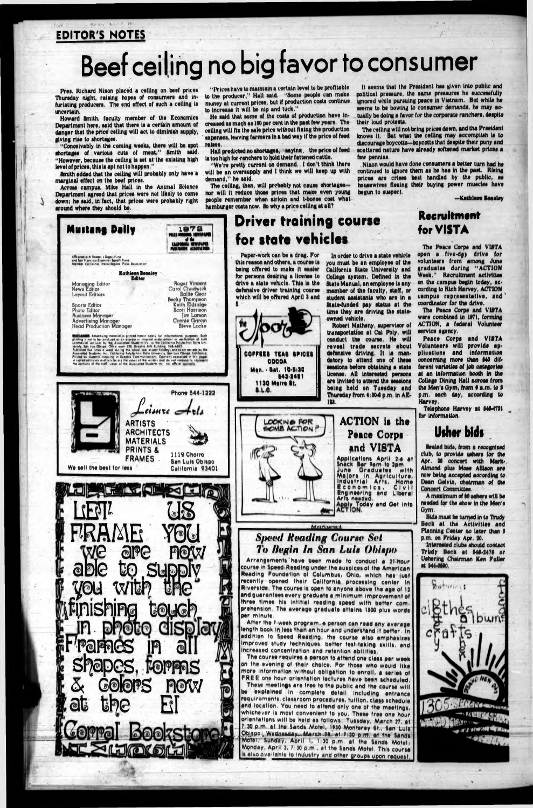#### EDITOR'S NOTES

 $35.6$  day  $A_{11}$   $A_{21}$   $A_{31}$   $A_{41}$ 

# **Beef ceiling no big favor to consumer**

Pres. Richard Nixon placed a ceiling on beef prices Thursday night, raising hopes of consumers and infurlating producers. The end effect of such a celling is **uncertain.**

**Howard Smith, faculty member of the Economic! Department here, aald that there la a certain amount of danger that the price celling will act to dlmlnlah aupply, giving riae to ahortagea.**

**"Prlcea have to maintain a certain level to be profitable to the producer," Hall aald, "Some people can make money at current prlcea, but If production coata continue** to increase it will be nip and tuck."

**"Conceivably In the coming weeka, there will be apot ahortagea of varloua cuta of meat," Smith aald, "However, becauae the celling la aet at the exlating high level of prlcea, thia la apt not to happen."**

**Smith added that the celling will probably only have a marginal effect on the beef prlcea.**

**Acroaa campua, Mike Hall in the Animal Science Department agreed that prlcea were not likely to come down; he aald, In fact, that prlcea were probably right around where they ahould be.**

The ceiling, then, will probably not cause shortagesnor will it reduce those prices that make even young people remember when sirloin and t-bones cost what **hamburger coata now. So why a price celling at all?**

**He aald that aome of the coata of production have In\* creaaed aa much aa 100 per cent In the paat few yeara, The celling will fix the aale price without fixing the production expenaea, leaving farmera In a bad way If the price of feed ralaea.**

**Hall predicted no ahortagea, aaylnu, the price of feed la too high for ranchera to hold their fattened cattle.**

**"We're pretty current on demand, I don't think there will be an overaupply and I think we will keep up with demand," he aald,**

**It aeema that the Preaident haa given into public and political preaaure, the aame preeaurea ha aucceeafully Ignored while puraulng peace in Vietnam. But while he** aeems to be bowing to consumer demands, he may ac**tually be doing a favor for the corporate ranchera, deaplte their loud proteata.**

**The celling will not bring prlcea down, and the Preatdent** knows it. But what the ceiling may accomplish is to discourage boycotts—boycotts that despite their puny and acattered nature have already softened market prices a **few penniea.**

**Nixon would have done conaumera a better turn had he continued to ignore them aa he haa In the paat, Hieing prlcea are crlaaa beat handled by the public, aa** housewives flexing their buying power muscles have **begun to auapect,**

**you must be an employee of the California State University and Collage eyatem. Defined In the State Manual, an employee la any member of the faculty, staff, or ■tudent aaelatanU who are In a State-funded pay etatua at tha** time they are driving the state**owned vehicle.**

**—Kathleen Beaaley**

Arrangements have been made to conduct a 21-hour **course In Speed Reading undar the auspices of the Am erican Reading Foundation of Columbus, Ohio, which hoe |uet reeontly opened their Californio processing center In** Riverside. The course is open to anyone above the age of 13 and guarantees every graduate a minimum improvement of three times his intitial reading speed with better com**prahenslon, The average graduate attains IS00 plus words**

After the 7 week program, a person can read any average **length book in lets than an hour and understand It batter. In** addition to Speed Reading, the course also emphasizes **Improved study techniques, better feet taking skills, and increased concentration and retention abilities.**

The course requires a person to attend one class per week **on the evening of their choice, For thoae who would like more Inform ation without obligation to onroll, a serlat ot F R E I: one hour orlantatlon lectures have been scheduled.** These meetings are free to the public and the course will **be explained In com plete detail Including antranca requirem ents, classroom procedures, tuition, claes schedulo** and location. You need to attend only one of the meetings, **whichever Is most convenient to you, These free one hour** orientations will be held as follows: Tuesday, March 27, at 7:30 p.m. at the Sands Motel, 1930 Monterey 6t., San Luis **Pbispo/, Wednesday, March.28, at 7 30 p.m. at the Sands** Motel Sunday, April 1, 1:30 p.m. at the Sands Motel; Monday, April 2, 7:30 p.m., at the Sands Motel. This course is also available to industry and other groups upon request,

 $\mathbb{R}^n$  ,  $\mathbb{R}^n$ 



The Peace Corps and VISTA **open a flve\*dyy drive for volunteers from among Juna graduataa during "A C T IO N Week." Racruitmant activities on the campua begin today, uncording to Rich Harvey, ACTION** campus representative, and **coordinator for the drive,**

The Peace Corps and VISTA were combined in 1971, forming **ACTION, a federal Volunteer service agency,**

Peace Corps and VISTA **Volunteers will provide ap-**<br>plications and information **plications and** concerning more than **540** dif**ferent varieties of Job categories at an Information booth in tha Collage Dining Hall acroaa from** the Men's Gym, from  $9$  a.m. to 3 **p.m. each day, according to Harvey,**

A maximum of 60 ushers will be **needed for the show In the Men's Gym.**

**Bids must be turned in to Trudy Beck at the Activities and Planning Canter no lalar than 3 p.m. on Friday Apr. 30.**

**Driver training course for state vehicles**

> **Robert Matheny, supervisor of transportation at Cal Poly, will conduct tha course, He will reveal trade accrete about defensive driving. It la mandatory to attand one of these sessions before obtaining a state license, All Interested persona are Invited to attend the seoeiona being held on Tuesday and Thuraday from 4i304 p.m. In AE-**

> > ACTION is the

Peace Corps

end VISTA **Applications A p ril 2 4 at Snack Bar Sam to 3pm Juna G ra d u a te s w ith M a |o n |n A g ric u ltu re , In d u s tria l A rts , H o m e Bconomica, Civil Engineering and Liberal**

**A rt\* needed,**

*j* **Today and Oat Into**

#### **Recruitment for VISTA**

**Telephone Harvey at MI-4711 for Information.**

#### **Uiher bids**

**Sealed bids, from a recognized club, to provide ushers for the Apr. 31 concert with Mark-**Almond plus Mose Allison are **now being accepted according te Dean Oetvln, chairmen** *ot* **the Concert Committee.**

**Interested clubs should contact**

**Trudy Beck at M I-3474 or Uehorlng Chairman Ken Fuller It M4-0M0.**

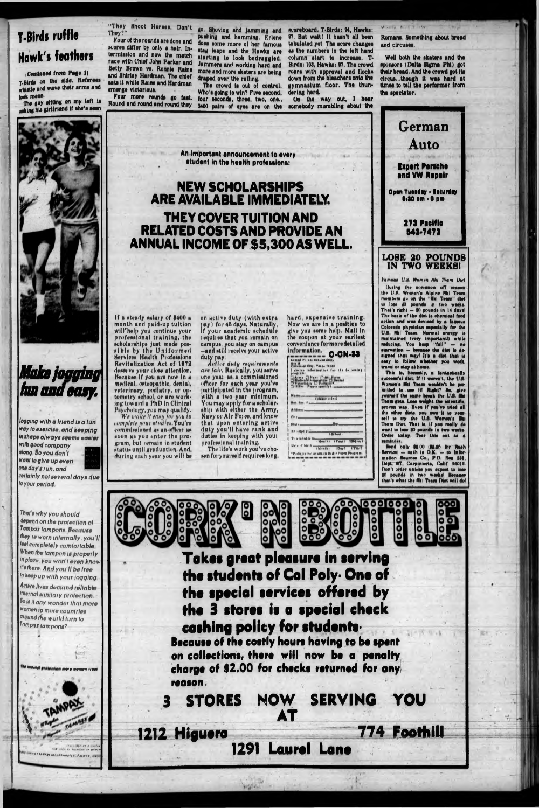# T-Birds ruffle **Hawk's feathers**

(Continued from Page 1) T-Birds on the side. Referees whistle and wave their arms and look mean.

The guy sitting on my left is nsking his girlfriend if she's seen

"They Shoot Horses, Don't They?

Four of the rounds are done and scores differ by only a hair. Intermission and now the match race with Chief John Parker and Betty Brown vs. Ronnie Raina and Shirley Hardman. The chief eats it while Rains and Hardman emerge victorious.

Four more rounds go fast. Round and round and round they

go. Shoving and jamming and<br>pushing and hamming. Erlene does some more of her famous stag leaps and the Hawks are starting to look bedraggled. Jammers and working hard and more and more skaters are being draped over the railing.

The crowd is out of control. Who's going to win? Five second, four seconds, three, two, one., 3400 pairs of eyes are on the

An important announcement to every student in the health professions:

acoreboard. T-Birds: 94. Hawks: 97. But wait! It hasn't all been tabulated yet. The score changes as the numbers in the left hand column start to increase. T-Birda: 103, Hawka: 97, The crowd roars with approval and flocks<br>down from the bleachers onto the gymnasium floor. The thundering herd.

On the way out, I hear somebody mumbling about the Romans. Something about bread and circuses.

Well both the skaters and the sponsors (Delta Sigma Phi) got their bread. And the crowd got its circus...though it was hard at times to tell the performer from the spectator.



mation Sources Co., P.O. Rox 281, Dept. ST. Carpinteria, Calif. 98018. Don't order unless you expect to lose 20 pounds in two weeks! Housune that's what the fiki Team Diet will do!



# Make jogging fun and easy.

logging with a friend is a fun way to exercise, and keeping in shape always seems easier with good company along So you don't want to give up even one day's run, and

cettainly not several days due to your period.

That's why you should depend on the protection of Tampax tampons, Because they're worn internally, you'll leal completely comfortable. <sup>v nen</sup> ihe lampon is properly in place, you won't even know it's there, And you'll be free to keep up with your jogging. Active lives demand reliable internal sanitary protection. So is it any wonder that more women ip more countries ground the world turn to Tampax tampons?

**NEW SCHOLARSHIPS** ARE AVAILABLE IMMEDIATELY. THEY COVER TUITION AND **RELATED COSTS AND PROVIDE AN** ANNUAL INCOME OF \$5,300 AS WELL.

If a steady salary of \$400 a month and paid-up tuition will help you continue your professional training, the scholarships just made possible by the Uniformed<br>Services Health Professions Revitalization Act of 1972 deserve your close attention. Because if you are now in a medical, osteopathic, dental, veterinary, podlatry, or op-<br>tometry school, or are working toward a PhD in Clinical

Psychology, you may qualify.<br>We make it easy for you to<br>complete your studies. You're commissioned as an officer as soon as you enter the program, but remain in student status until graduation. And, during each year you will be

on active duty (with extra pay) for 45 days. Naturally, If your academic schedule requires that you remain on campus, you stay on campus -and still receive your active

duty pay.<br>Active duty requirements are fair. Basically, you serve one year as a commissioned officer for each year you've participated in the program. with a two year minimum. You may apply for a scholar-ship with either the Army, Navy or Air Force, and know that upon entering active duty you'll have rank and duties in keeping with your professional training.

The life's work you've chosen for yourself requires long,

 $0000$  $\circ$ 888 o ۰ O

Rep. Rep. 7 ...

**Hassled at ...** 

Address ...

en.

**Blair-**

1212 Higuera

Takes great pleasure in serving the students of Cal Poly. One of the special services offered by the 3 stores is a special check cashing policy for students. Because of the costly hours having to be spent on collections, there will now be a penalty charge of \$2.00 for checks returned for any reason.

NOW SERVING YOU **STORES** AT 774 Foothill

1291

**Laurel Lane**